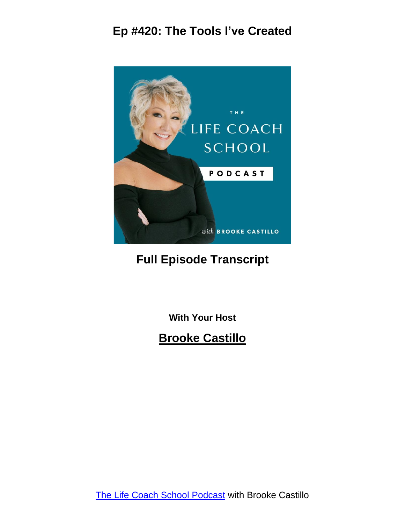

#### **Full Episode Transcript**

**With Your Host**

#### **Brooke Castillo**

The Life Coach School [Podcast](http://www.thelifecoachschool.com/) with Brooke Castillo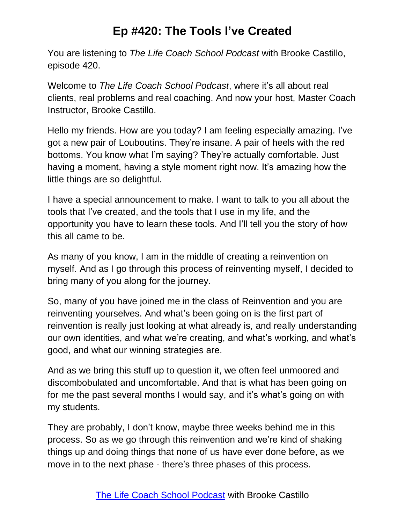You are listening to *The Life Coach School Podcast* with Brooke Castillo, episode 420.

Welcome to *The Life Coach School Podcast*, where it's all about real clients, real problems and real coaching. And now your host, Master Coach Instructor, Brooke Castillo.

Hello my friends. How are you today? I am feeling especially amazing. I've got a new pair of Louboutins. They're insane. A pair of heels with the red bottoms. You know what I'm saying? They're actually comfortable. Just having a moment, having a style moment right now. It's amazing how the little things are so delightful.

I have a special announcement to make. I want to talk to you all about the tools that I've created, and the tools that I use in my life, and the opportunity you have to learn these tools. And I'll tell you the story of how this all came to be.

As many of you know, I am in the middle of creating a reinvention on myself. And as I go through this process of reinventing myself, I decided to bring many of you along for the journey.

So, many of you have joined me in the class of Reinvention and you are reinventing yourselves. And what's been going on is the first part of reinvention is really just looking at what already is, and really understanding our own identities, and what we're creating, and what's working, and what's good, and what our winning strategies are.

And as we bring this stuff up to question it, we often feel unmoored and discombobulated and uncomfortable. And that is what has been going on for me the past several months I would say, and it's what's going on with my students.

They are probably, I don't know, maybe three weeks behind me in this process. So as we go through this reinvention and we're kind of shaking things up and doing things that none of us have ever done before, as we move in to the next phase - there's three phases of this process.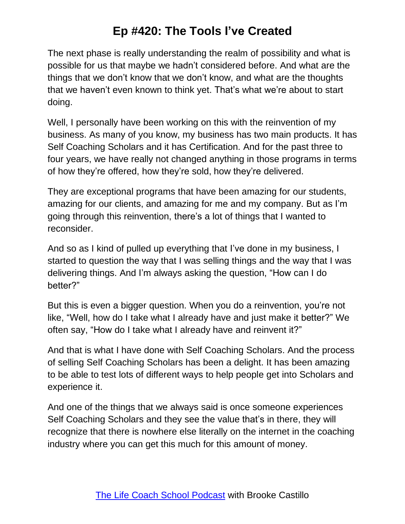The next phase is really understanding the realm of possibility and what is possible for us that maybe we hadn't considered before. And what are the things that we don't know that we don't know, and what are the thoughts that we haven't even known to think yet. That's what we're about to start doing.

Well, I personally have been working on this with the reinvention of my business. As many of you know, my business has two main products. It has Self Coaching Scholars and it has Certification. And for the past three to four years, we have really not changed anything in those programs in terms of how they're offered, how they're sold, how they're delivered.

They are exceptional programs that have been amazing for our students, amazing for our clients, and amazing for me and my company. But as I'm going through this reinvention, there's a lot of things that I wanted to reconsider.

And so as I kind of pulled up everything that I've done in my business, I started to question the way that I was selling things and the way that I was delivering things. And I'm always asking the question, "How can I do better?"

But this is even a bigger question. When you do a reinvention, you're not like, "Well, how do I take what I already have and just make it better?" We often say, "How do I take what I already have and reinvent it?"

And that is what I have done with Self Coaching Scholars. And the process of selling Self Coaching Scholars has been a delight. It has been amazing to be able to test lots of different ways to help people get into Scholars and experience it.

And one of the things that we always said is once someone experiences Self Coaching Scholars and they see the value that's in there, they will recognize that there is nowhere else literally on the internet in the coaching industry where you can get this much for this amount of money.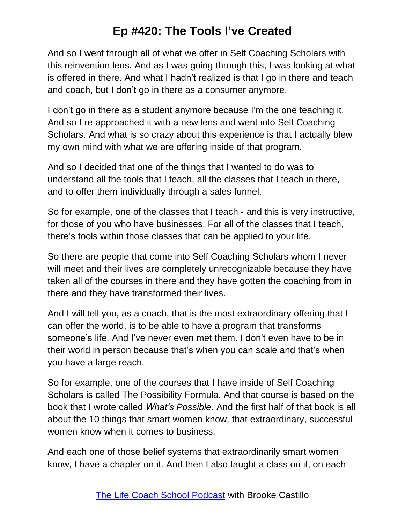And so I went through all of what we offer in Self Coaching Scholars with this reinvention lens. And as I was going through this, I was looking at what is offered in there. And what I hadn't realized is that I go in there and teach and coach, but I don't go in there as a consumer anymore.

I don't go in there as a student anymore because I'm the one teaching it. And so I re-approached it with a new lens and went into Self Coaching Scholars. And what is so crazy about this experience is that I actually blew my own mind with what we are offering inside of that program.

And so I decided that one of the things that I wanted to do was to understand all the tools that I teach, all the classes that I teach in there, and to offer them individually through a sales funnel.

So for example, one of the classes that I teach - and this is very instructive, for those of you who have businesses. For all of the classes that I teach, there's tools within those classes that can be applied to your life.

So there are people that come into Self Coaching Scholars whom I never will meet and their lives are completely unrecognizable because they have taken all of the courses in there and they have gotten the coaching from in there and they have transformed their lives.

And I will tell you, as a coach, that is the most extraordinary offering that I can offer the world, is to be able to have a program that transforms someone's life. And I've never even met them. I don't even have to be in their world in person because that's when you can scale and that's when you have a large reach.

So for example, one of the courses that I have inside of Self Coaching Scholars is called The Possibility Formula. And that course is based on the book that I wrote called *What's Possible*. And the first half of that book is all about the 10 things that smart women know, that extraordinary, successful women know when it comes to business.

And each one of those belief systems that extraordinarily smart women know, I have a chapter on it. And then I also taught a class on it, on each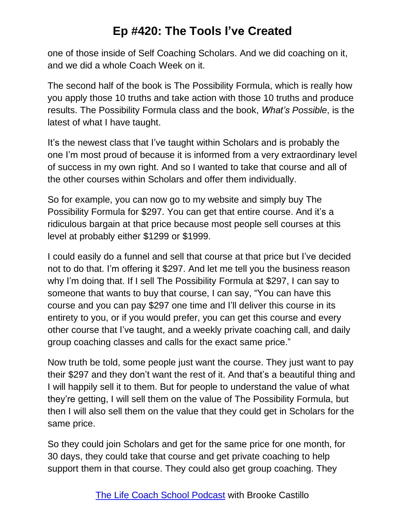one of those inside of Self Coaching Scholars. And we did coaching on it, and we did a whole Coach Week on it.

The second half of the book is The Possibility Formula, which is really how you apply those 10 truths and take action with those 10 truths and produce results. The Possibility Formula class and the book, *What's Possible*, is the latest of what I have taught.

It's the newest class that I've taught within Scholars and is probably the one I'm most proud of because it is informed from a very extraordinary level of success in my own right. And so I wanted to take that course and all of the other courses within Scholars and offer them individually.

So for example, you can now go to my website and simply buy The Possibility Formula for \$297. You can get that entire course. And it's a ridiculous bargain at that price because most people sell courses at this level at probably either \$1299 or \$1999.

I could easily do a funnel and sell that course at that price but I've decided not to do that. I'm offering it \$297. And let me tell you the business reason why I'm doing that. If I sell The Possibility Formula at \$297, I can say to someone that wants to buy that course, I can say, "You can have this course and you can pay \$297 one time and I'll deliver this course in its entirety to you, or if you would prefer, you can get this course and every other course that I've taught, and a weekly private coaching call, and daily group coaching classes and calls for the exact same price."

Now truth be told, some people just want the course. They just want to pay their \$297 and they don't want the rest of it. And that's a beautiful thing and I will happily sell it to them. But for people to understand the value of what they're getting, I will sell them on the value of The Possibility Formula, but then I will also sell them on the value that they could get in Scholars for the same price.

So they could join Scholars and get for the same price for one month, for 30 days, they could take that course and get private coaching to help support them in that course. They could also get group coaching. They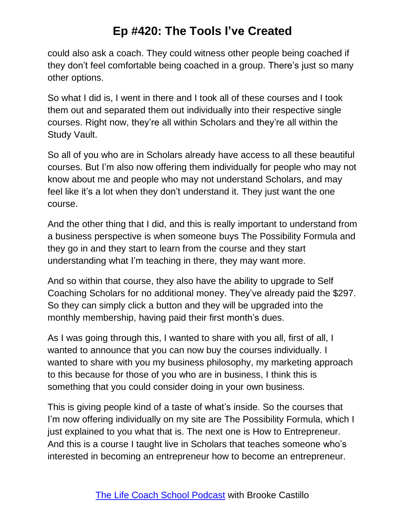could also ask a coach. They could witness other people being coached if they don't feel comfortable being coached in a group. There's just so many other options.

So what I did is, I went in there and I took all of these courses and I took them out and separated them out individually into their respective single courses. Right now, they're all within Scholars and they're all within the Study Vault.

So all of you who are in Scholars already have access to all these beautiful courses. But I'm also now offering them individually for people who may not know about me and people who may not understand Scholars, and may feel like it's a lot when they don't understand it. They just want the one course.

And the other thing that I did, and this is really important to understand from a business perspective is when someone buys The Possibility Formula and they go in and they start to learn from the course and they start understanding what I'm teaching in there, they may want more.

And so within that course, they also have the ability to upgrade to Self Coaching Scholars for no additional money. They've already paid the \$297. So they can simply click a button and they will be upgraded into the monthly membership, having paid their first month's dues.

As I was going through this, I wanted to share with you all, first of all, I wanted to announce that you can now buy the courses individually. I wanted to share with you my business philosophy, my marketing approach to this because for those of you who are in business, I think this is something that you could consider doing in your own business.

This is giving people kind of a taste of what's inside. So the courses that I'm now offering individually on my site are The Possibility Formula, which I just explained to you what that is. The next one is How to Entrepreneur. And this is a course I taught live in Scholars that teaches someone who's interested in becoming an entrepreneur how to become an entrepreneur.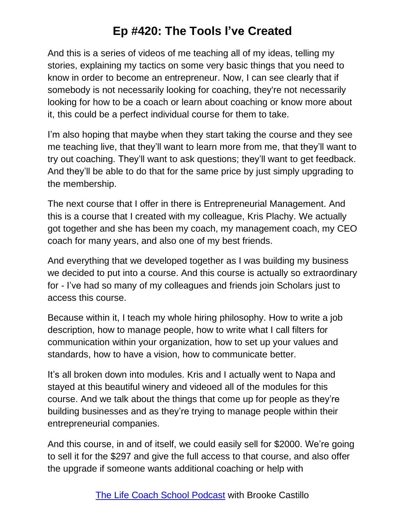And this is a series of videos of me teaching all of my ideas, telling my stories, explaining my tactics on some very basic things that you need to know in order to become an entrepreneur. Now, I can see clearly that if somebody is not necessarily looking for coaching, they're not necessarily looking for how to be a coach or learn about coaching or know more about it, this could be a perfect individual course for them to take.

I'm also hoping that maybe when they start taking the course and they see me teaching live, that they'll want to learn more from me, that they'll want to try out coaching. They'll want to ask questions; they'll want to get feedback. And they'll be able to do that for the same price by just simply upgrading to the membership.

The next course that I offer in there is Entrepreneurial Management. And this is a course that I created with my colleague, Kris Plachy. We actually got together and she has been my coach, my management coach, my CEO coach for many years, and also one of my best friends.

And everything that we developed together as I was building my business we decided to put into a course. And this course is actually so extraordinary for - I've had so many of my colleagues and friends join Scholars just to access this course.

Because within it, I teach my whole hiring philosophy. How to write a job description, how to manage people, how to write what I call filters for communication within your organization, how to set up your values and standards, how to have a vision, how to communicate better.

It's all broken down into modules. Kris and I actually went to Napa and stayed at this beautiful winery and videoed all of the modules for this course. And we talk about the things that come up for people as they're building businesses and as they're trying to manage people within their entrepreneurial companies.

And this course, in and of itself, we could easily sell for \$2000. We're going to sell it for the \$297 and give the full access to that course, and also offer the upgrade if someone wants additional coaching or help with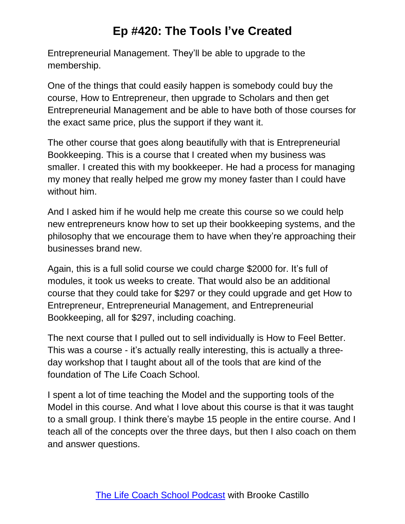Entrepreneurial Management. They'll be able to upgrade to the membership.

One of the things that could easily happen is somebody could buy the course, How to Entrepreneur, then upgrade to Scholars and then get Entrepreneurial Management and be able to have both of those courses for the exact same price, plus the support if they want it.

The other course that goes along beautifully with that is Entrepreneurial Bookkeeping. This is a course that I created when my business was smaller. I created this with my bookkeeper. He had a process for managing my money that really helped me grow my money faster than I could have without him.

And I asked him if he would help me create this course so we could help new entrepreneurs know how to set up their bookkeeping systems, and the philosophy that we encourage them to have when they're approaching their businesses brand new.

Again, this is a full solid course we could charge \$2000 for. It's full of modules, it took us weeks to create. That would also be an additional course that they could take for \$297 or they could upgrade and get How to Entrepreneur, Entrepreneurial Management, and Entrepreneurial Bookkeeping, all for \$297, including coaching.

The next course that I pulled out to sell individually is How to Feel Better. This was a course - it's actually really interesting, this is actually a threeday workshop that I taught about all of the tools that are kind of the foundation of The Life Coach School.

I spent a lot of time teaching the Model and the supporting tools of the Model in this course. And what I love about this course is that it was taught to a small group. I think there's maybe 15 people in the entire course. And I teach all of the concepts over the three days, but then I also coach on them and answer questions.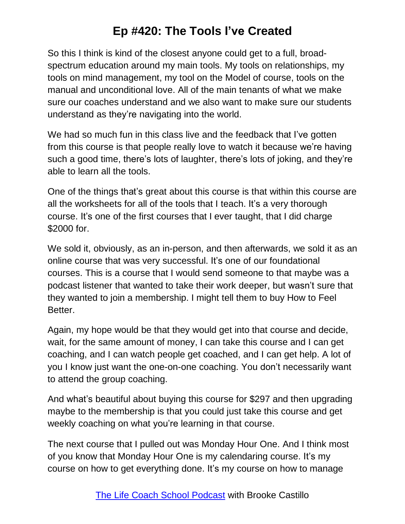So this I think is kind of the closest anyone could get to a full, broadspectrum education around my main tools. My tools on relationships, my tools on mind management, my tool on the Model of course, tools on the manual and unconditional love. All of the main tenants of what we make sure our coaches understand and we also want to make sure our students understand as they're navigating into the world.

We had so much fun in this class live and the feedback that I've gotten from this course is that people really love to watch it because we're having such a good time, there's lots of laughter, there's lots of joking, and they're able to learn all the tools.

One of the things that's great about this course is that within this course are all the worksheets for all of the tools that I teach. It's a very thorough course. It's one of the first courses that I ever taught, that I did charge \$2000 for.

We sold it, obviously, as an in-person, and then afterwards, we sold it as an online course that was very successful. It's one of our foundational courses. This is a course that I would send someone to that maybe was a podcast listener that wanted to take their work deeper, but wasn't sure that they wanted to join a membership. I might tell them to buy How to Feel Better.

Again, my hope would be that they would get into that course and decide, wait, for the same amount of money, I can take this course and I can get coaching, and I can watch people get coached, and I can get help. A lot of you I know just want the one-on-one coaching. You don't necessarily want to attend the group coaching.

And what's beautiful about buying this course for \$297 and then upgrading maybe to the membership is that you could just take this course and get weekly coaching on what you're learning in that course.

The next course that I pulled out was Monday Hour One. And I think most of you know that Monday Hour One is my calendaring course. It's my course on how to get everything done. It's my course on how to manage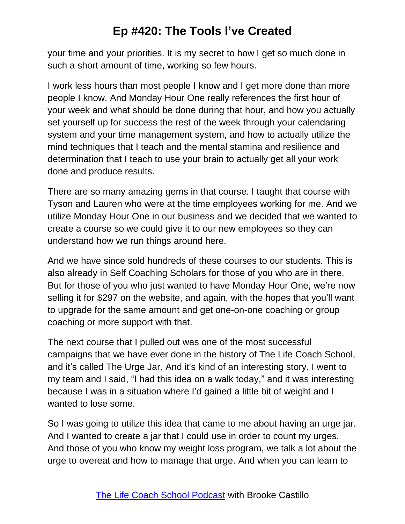your time and your priorities. It is my secret to how I get so much done in such a short amount of time, working so few hours.

I work less hours than most people I know and I get more done than more people I know. And Monday Hour One really references the first hour of your week and what should be done during that hour, and how you actually set yourself up for success the rest of the week through your calendaring system and your time management system, and how to actually utilize the mind techniques that I teach and the mental stamina and resilience and determination that I teach to use your brain to actually get all your work done and produce results.

There are so many amazing gems in that course. I taught that course with Tyson and Lauren who were at the time employees working for me. And we utilize Monday Hour One in our business and we decided that we wanted to create a course so we could give it to our new employees so they can understand how we run things around here.

And we have since sold hundreds of these courses to our students. This is also already in Self Coaching Scholars for those of you who are in there. But for those of you who just wanted to have Monday Hour One, we're now selling it for \$297 on the website, and again, with the hopes that you'll want to upgrade for the same amount and get one-on-one coaching or group coaching or more support with that.

The next course that I pulled out was one of the most successful campaigns that we have ever done in the history of The Life Coach School, and it's called The Urge Jar. And it's kind of an interesting story. I went to my team and I said, "I had this idea on a walk today," and it was interesting because I was in a situation where I'd gained a little bit of weight and I wanted to lose some.

So I was going to utilize this idea that came to me about having an urge jar. And I wanted to create a jar that I could use in order to count my urges. And those of you who know my weight loss program, we talk a lot about the urge to overeat and how to manage that urge. And when you can learn to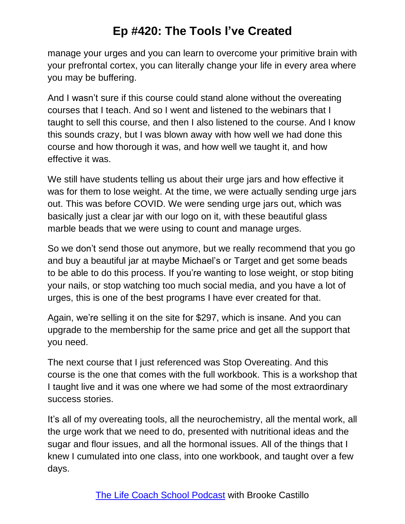manage your urges and you can learn to overcome your primitive brain with your prefrontal cortex, you can literally change your life in every area where you may be buffering.

And I wasn't sure if this course could stand alone without the overeating courses that I teach. And so I went and listened to the webinars that I taught to sell this course, and then I also listened to the course. And I know this sounds crazy, but I was blown away with how well we had done this course and how thorough it was, and how well we taught it, and how effective it was.

We still have students telling us about their urge jars and how effective it was for them to lose weight. At the time, we were actually sending urge jars out. This was before COVID. We were sending urge jars out, which was basically just a clear jar with our logo on it, with these beautiful glass marble beads that we were using to count and manage urges.

So we don't send those out anymore, but we really recommend that you go and buy a beautiful jar at maybe Michael's or Target and get some beads to be able to do this process. If you're wanting to lose weight, or stop biting your nails, or stop watching too much social media, and you have a lot of urges, this is one of the best programs I have ever created for that.

Again, we're selling it on the site for \$297, which is insane. And you can upgrade to the membership for the same price and get all the support that you need.

The next course that I just referenced was Stop Overeating. And this course is the one that comes with the full workbook. This is a workshop that I taught live and it was one where we had some of the most extraordinary success stories.

It's all of my overeating tools, all the neurochemistry, all the mental work, all the urge work that we need to do, presented with nutritional ideas and the sugar and flour issues, and all the hormonal issues. All of the things that I knew I cumulated into one class, into one workbook, and taught over a few days.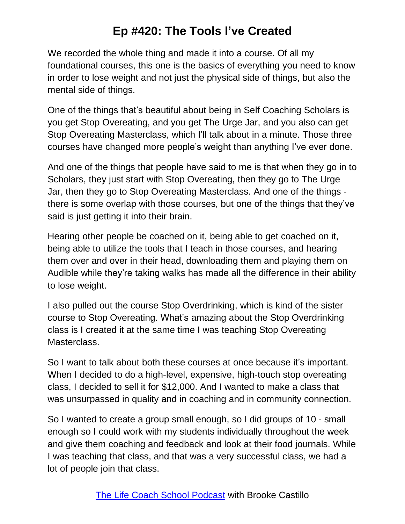We recorded the whole thing and made it into a course. Of all my foundational courses, this one is the basics of everything you need to know in order to lose weight and not just the physical side of things, but also the mental side of things.

One of the things that's beautiful about being in Self Coaching Scholars is you get Stop Overeating, and you get The Urge Jar, and you also can get Stop Overeating Masterclass, which I'll talk about in a minute. Those three courses have changed more people's weight than anything I've ever done.

And one of the things that people have said to me is that when they go in to Scholars, they just start with Stop Overeating, then they go to The Urge Jar, then they go to Stop Overeating Masterclass. And one of the things there is some overlap with those courses, but one of the things that they've said is just getting it into their brain.

Hearing other people be coached on it, being able to get coached on it, being able to utilize the tools that I teach in those courses, and hearing them over and over in their head, downloading them and playing them on Audible while they're taking walks has made all the difference in their ability to lose weight.

I also pulled out the course Stop Overdrinking, which is kind of the sister course to Stop Overeating. What's amazing about the Stop Overdrinking class is I created it at the same time I was teaching Stop Overeating Masterclass.

So I want to talk about both these courses at once because it's important. When I decided to do a high-level, expensive, high-touch stop overeating class, I decided to sell it for \$12,000. And I wanted to make a class that was unsurpassed in quality and in coaching and in community connection.

So I wanted to create a group small enough, so I did groups of 10 - small enough so I could work with my students individually throughout the week and give them coaching and feedback and look at their food journals. While I was teaching that class, and that was a very successful class, we had a lot of people join that class.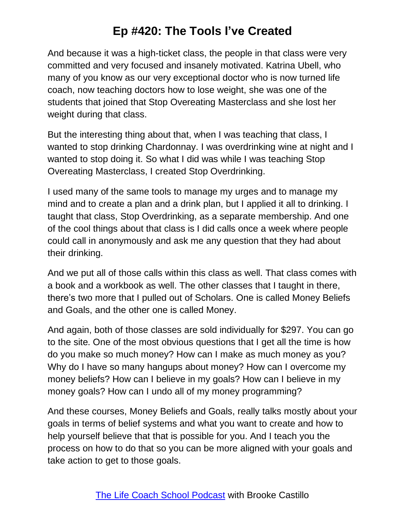And because it was a high-ticket class, the people in that class were very committed and very focused and insanely motivated. Katrina Ubell, who many of you know as our very exceptional doctor who is now turned life coach, now teaching doctors how to lose weight, she was one of the students that joined that Stop Overeating Masterclass and she lost her weight during that class.

But the interesting thing about that, when I was teaching that class, I wanted to stop drinking Chardonnay. I was overdrinking wine at night and I wanted to stop doing it. So what I did was while I was teaching Stop Overeating Masterclass, I created Stop Overdrinking.

I used many of the same tools to manage my urges and to manage my mind and to create a plan and a drink plan, but I applied it all to drinking. I taught that class, Stop Overdrinking, as a separate membership. And one of the cool things about that class is I did calls once a week where people could call in anonymously and ask me any question that they had about their drinking.

And we put all of those calls within this class as well. That class comes with a book and a workbook as well. The other classes that I taught in there, there's two more that I pulled out of Scholars. One is called Money Beliefs and Goals, and the other one is called Money.

And again, both of those classes are sold individually for \$297. You can go to the site. One of the most obvious questions that I get all the time is how do you make so much money? How can I make as much money as you? Why do I have so many hangups about money? How can I overcome my money beliefs? How can I believe in my goals? How can I believe in my money goals? How can I undo all of my money programming?

And these courses, Money Beliefs and Goals, really talks mostly about your goals in terms of belief systems and what you want to create and how to help yourself believe that that is possible for you. And I teach you the process on how to do that so you can be more aligned with your goals and take action to get to those goals.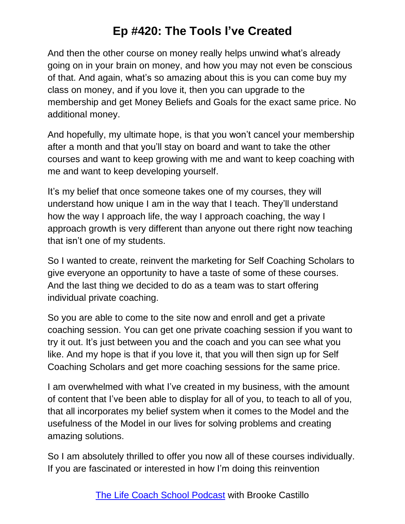And then the other course on money really helps unwind what's already going on in your brain on money, and how you may not even be conscious of that. And again, what's so amazing about this is you can come buy my class on money, and if you love it, then you can upgrade to the membership and get Money Beliefs and Goals for the exact same price. No additional money.

And hopefully, my ultimate hope, is that you won't cancel your membership after a month and that you'll stay on board and want to take the other courses and want to keep growing with me and want to keep coaching with me and want to keep developing yourself.

It's my belief that once someone takes one of my courses, they will understand how unique I am in the way that I teach. They'll understand how the way I approach life, the way I approach coaching, the way I approach growth is very different than anyone out there right now teaching that isn't one of my students.

So I wanted to create, reinvent the marketing for Self Coaching Scholars to give everyone an opportunity to have a taste of some of these courses. And the last thing we decided to do as a team was to start offering individual private coaching.

So you are able to come to the site now and enroll and get a private coaching session. You can get one private coaching session if you want to try it out. It's just between you and the coach and you can see what you like. And my hope is that if you love it, that you will then sign up for Self Coaching Scholars and get more coaching sessions for the same price.

I am overwhelmed with what I've created in my business, with the amount of content that I've been able to display for all of you, to teach to all of you, that all incorporates my belief system when it comes to the Model and the usefulness of the Model in our lives for solving problems and creating amazing solutions.

So I am absolutely thrilled to offer you now all of these courses individually. If you are fascinated or interested in how I'm doing this reinvention